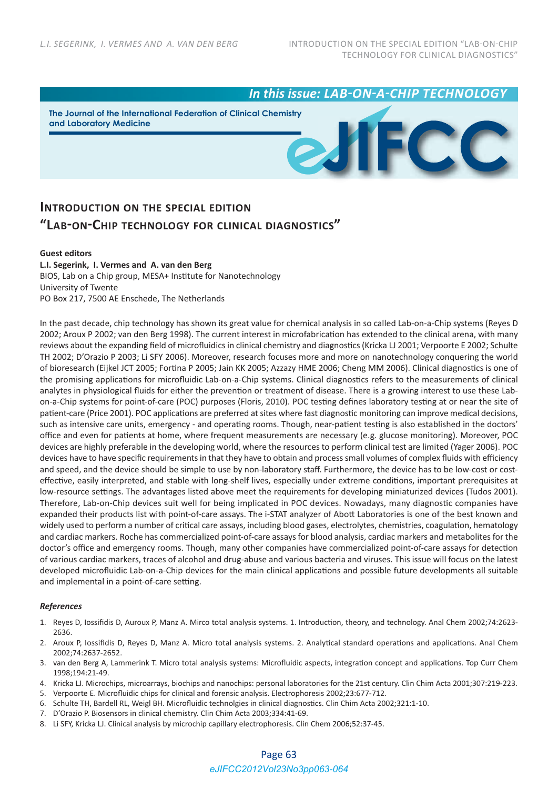*In this issue: LAB-ON-A-CHIP TECHNOLOGY*

**The Journal of the International Federation of Clinical Chemistry and Laboratory Medicine**



## **INTRODUCTION ON THE SPECIAL EDITION "LAB-ON-CHIP TECHNOLOGY FOR CLINICAL DIAGNOSTICS"**

## **Guest editors**

**L.I. Segerink, I. Vermes and A. van den Berg** BIOS, Lab on a Chip group, MESA+ Institute for Nanotechnology University of Twente PO Box 217, 7500 AE Enschede, The Netherlands

In the past decade, chip technology has shown its great value for chemical analysis in so called Lab-on-a-Chip systems (Reyes D 2002; Aroux P 2002; van den Berg 1998). The current interest in microfabrication has extended to the clinical arena, with many reviews about the expanding field of microfluidics in clinical chemistry and diagnostics (Kricka LJ 2001; Verpoorte E 2002; Schulte TH 2002; D'Orazio P 2003; Li SFY 2006). Moreover, research focuses more and more on nanotechnology conquering the world of bioresearch (Eijkel JCT 2005; Fortina P 2005; Jain KK 2005; Azzazy HME 2006; Cheng MM 2006). Clinical diagnostics is one of the promising applications for microfluidic Lab‐on‐a‐Chip systems. Clinical diagnostics refers to the measurements of clinical analytes in physiological fluids for either the prevention or treatment of disease. There is a growing interest to use these Lab‐ on-a-Chip systems for point-of-care (POC) purposes (Floris, 2010). POC testing defines laboratory testing at or near the site of patient-care (Price 2001). POC applications are preferred at sites where fast diagnostic monitoring can improve medical decisions, such as intensive care units, emergency - and operating rooms. Though, near-patient testing is also established in the doctors' office and even for patients at home, where frequent measurements are necessary (e.g. glucose monitoring). Moreover, POC devices are highly preferable in the developing world, where the resources to perform clinical test are limited (Yager 2006). POC devices have to have specific requirements in that they have to obtain and process small volumes of complex fluids with efficiency and speed, and the device should be simple to use by non-laboratory staff. Furthermore, the device has to be low-cost or costeffective, easily interpreted, and stable with long‐shelf lives, especially under extreme conditions, important prerequisites at low-resource settings. The advantages listed above meet the requirements for developing miniaturized devices (Tudos 2001). Therefore, Lab-on-Chip devices suit well for being implicated in POC devices. Nowadays, many diagnostic companies have expanded their products list with point-of-care assays. The i-STAT analyzer of Abott Laboratories is one of the best known and widely used to perform a number of critical care assays, including blood gases, electrolytes, chemistries, coagulation, hematology and cardiac markers. Roche has commercialized point‐of‐care assays for blood analysis, cardiac markers and metabolites for the doctor's office and emergency rooms. Though, many other companies have commercialized point-of-care assays for detection of various cardiac markers, traces of alcohol and drug‐abuse and various bacteria and viruses. This issue will focus on the latest developed microfluidic Lab‐on‐a‐Chip devices for the main clinical applications and possible future developments all suitable and implemental in a point‐of‐care setting.

## *References*

- 1. Reyes D, Iossifidis D, Auroux P, Manz A. Mirco total analysis systems. 1. Introduction, theory, and technology. Anal Chem 2002;74:2623‐ 2636.
- 2. Aroux P, Iossifidis D, Reyes D, Manz A. Micro total analysis systems. 2. Analytical standard operations and applications. Anal Chem 2002;74:2637‐2652.
- 3. van den Berg A, Lammerink T. Micro total analysis systems: Microfluidic aspects, integration concept and applications. Top Curr Chem 1998;194:21‐49.
- 4. Kricka LJ. Microchips, microarrays, biochips and nanochips: personal laboratories for the 21st century. Clin Chim Acta 2001;307:219‐223.
- 5. Verpoorte E. Microfluidic chips for clinical and forensic analysis. Electrophoresis 2002;23:677‐712.
- 6. Schulte TH, Bardell RL, Weigl BH. Microfluidic technolgies in clinical diagnostics. Clin Chim Acta 2002;321:1‐10.
- 7. D'Orazio P. Biosensors in clinical chemistry. Clin Chim Acta 2003;334:41‐69.
- 8. Li SFY, Kricka LJ. Clinical analysis by microchip capillary electrophoresis. Clin Chem 2006;52:37-45.